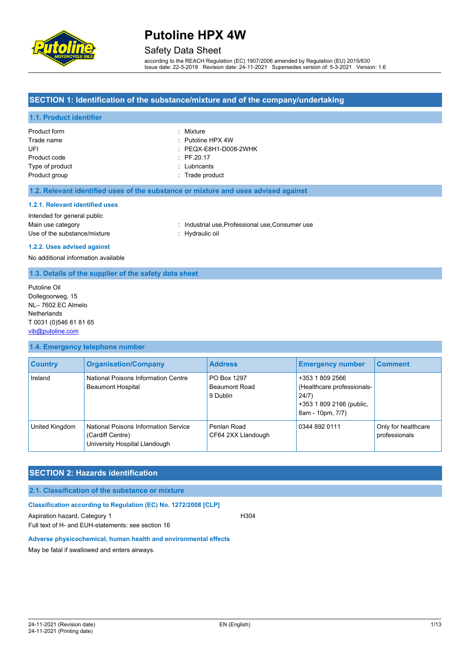

### Safety Data Sheet

according to the REACH Regulation (EC) 1907/2006 amended by Regulation (EU) 2015/830 Issue date: 22-5-2018 Revision date: 24-11-2021 Supersedes version of: 5-3-2021 Version: 1.6

#### **SECTION 1: Identification of the substance/mixture and of the company/undertaking**

#### **1.1. Product identifier**

| Product form    | : Mixture                        |
|-----------------|----------------------------------|
| Trade name      | $\therefore$ Putoline HPX 4W     |
| UFI             | $\therefore$ PEQX-E8H1-D008-2WHK |
| Product code    | $\therefore$ PF.20.17            |
| Type of product | : Lubricants                     |
| Product group   | : Trade product                  |

#### **1.2. Relevant identified uses of the substance or mixture and uses advised against**

#### **1.2.1. Relevant identified uses**

Intended for general public Use of the substance/mixture in the substance in the set of the substance of the substance in the set of the substance of the substance of the substance of the substance of the substance of the substance of the substance o

Main use category **industrial use, Professional use, Consumer use** industrial use, Professional use, Consumer use

# **1.2.2. Uses advised against**

No additional information available

#### **1.3. Details of the supplier of the safety data sheet**

Putoline Oil Dollegoorweg, 15 NL– 7602 EC Almelo **Netherlands** T 0031 (0)546 81 81 65 [vib@putoline.com](mailto:vib@putoline.com)

#### **1.4. Emergency telephone number**

| <b>Country</b> | <b>Organisation/Company</b>                                                               | <b>Address</b>                                  | <b>Emergency number</b>                                                                                | <b>Comment</b>                       |
|----------------|-------------------------------------------------------------------------------------------|-------------------------------------------------|--------------------------------------------------------------------------------------------------------|--------------------------------------|
| Ireland        | National Poisons Information Centre<br><b>Beaumont Hospital</b>                           | PO Box 1297<br><b>Beaumont Road</b><br>9 Dublin | +353 1 809 2566<br>(Healthcare professionals-<br>24/7)<br>+353 1 809 2166 (public,<br>8am - 10pm, 7/7) |                                      |
| United Kingdom | National Poisons Information Service<br>(Cardiff Centre)<br>University Hospital Llandough | Penlan Road<br>CF64 2XX Llandough               | 0344 892 0111                                                                                          | Only for healthcare<br>professionals |

#### **SECTION 2: Hazards identification**

#### **2.1. Classification of the substance or mixture**

#### **Classification according to Regulation (EC) No. 1272/2008 [CLP]**

Aspiration hazard, Category 1 **H304** H304 Full text of H- and EUH-statements: see section 16

#### **Adverse physicochemical, human health and environmental effects**

May be fatal if swallowed and enters airways.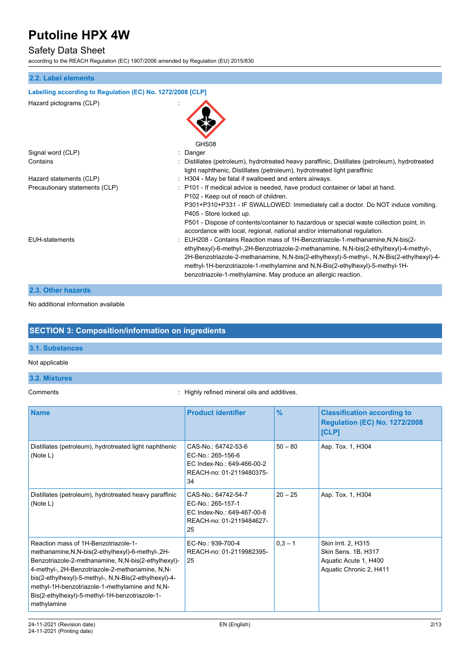### Safety Data Sheet

according to the REACH Regulation (EC) 1907/2006 amended by Regulation (EU) 2015/830

#### **2.2. Label elements**

| Labelling according to Regulation (EC) No. 1272/2008 [CLP] |                                                                                                                                                                                                                                                                                                                                                                                                                                                                                                                                                                                                  |
|------------------------------------------------------------|--------------------------------------------------------------------------------------------------------------------------------------------------------------------------------------------------------------------------------------------------------------------------------------------------------------------------------------------------------------------------------------------------------------------------------------------------------------------------------------------------------------------------------------------------------------------------------------------------|
| Hazard pictograms (CLP)                                    | GHS08                                                                                                                                                                                                                                                                                                                                                                                                                                                                                                                                                                                            |
| Signal word (CLP)                                          | : Danger                                                                                                                                                                                                                                                                                                                                                                                                                                                                                                                                                                                         |
| Contains                                                   | : Distillates (petroleum), hydrotreated heavy paraffinic, Distillates (petroleum), hydrotreated<br>light naphthenic, Distillates (petroleum), hydrotreated light paraffinic                                                                                                                                                                                                                                                                                                                                                                                                                      |
| Hazard statements (CLP)                                    | : H304 - May be fatal if swallowed and enters airways.                                                                                                                                                                                                                                                                                                                                                                                                                                                                                                                                           |
| Precautionary statements (CLP)                             | : P101 - If medical advice is needed, have product container or label at hand.<br>P102 - Keep out of reach of children.<br>P301+P310+P331 - IF SWALLOWED: Immediately call a doctor. Do NOT induce vomiting.<br>P405 - Store locked up.                                                                                                                                                                                                                                                                                                                                                          |
| <b>EUH-statements</b>                                      | P501 - Dispose of contents/container to hazardous or special waste collection point, in<br>accordance with local, regional, national and/or international regulation.<br>: EUH208 - Contains Reaction mass of 1H-Benzotriazole-1-methanamine,N,N-bis(2-<br>ethylhexyl)-6-methyl-,2H-Benzotriazole-2-methanamine, N,N-bis(2-ethylhexyl)-4-methyl-,<br>2H-Benzotriazole-2-methanamine, N,N-bis(2-ethylhexyl)-5-methyl-, N,N-Bis(2-ethylhexyl)-4-<br>methyl-1H-benzotriazole-1-methylamine and N,N-Bis(2-ethylhexyl)-5-methyl-1H-<br>benzotriazole-1-methylamine. May produce an allergic reaction. |
|                                                            |                                                                                                                                                                                                                                                                                                                                                                                                                                                                                                                                                                                                  |

#### **2.3. Other hazards**

### No additional information available

### **SECTION 3: Composition/information on ingredients**

#### **3.1. Substances**

#### Not applicable

### **3.2. Mixtures**

Comments : Highly refined mineral oils and additives.

| <b>Name</b>                                                                                                                                                                                                                                                                                                                                                                      | <b>Product identifier</b>                                                                                | $\frac{9}{6}$ | <b>Classification according to</b><br><b>Regulation (EC) No. 1272/2008</b><br>[CLP]            |
|----------------------------------------------------------------------------------------------------------------------------------------------------------------------------------------------------------------------------------------------------------------------------------------------------------------------------------------------------------------------------------|----------------------------------------------------------------------------------------------------------|---------------|------------------------------------------------------------------------------------------------|
| Distillates (petroleum), hydrotreated light naphthenic<br>(Note L)                                                                                                                                                                                                                                                                                                               | CAS-No.: 64742-53-6<br>EC-No.: 265-156-6<br>EC Index-No.: 649-466-00-2<br>REACH-no: 01-2119480375-<br>34 | $50 - 80$     | Asp. Tox. 1, H304                                                                              |
| Distillates (petroleum), hydrotreated heavy paraffinic<br>(Note L)                                                                                                                                                                                                                                                                                                               | CAS-No.: 64742-54-7<br>EC-No.: 265-157-1<br>EC Index-No.: 649-467-00-8<br>REACH-no: 01-2119484627-<br>25 | $20 - 25$     | Asp. Tox. 1, H304                                                                              |
| Reaction mass of 1H-Benzotriazole-1-<br>methanamine, N, N-bis(2-ethylhexyl)-6-methyl-, 2H-<br>Benzotriazole-2-methanamine, N,N-bis(2-ethylhexyl)-<br>4-methyl-, 2H-Benzotriazole-2-methanamine, N,N-<br>bis(2-ethylhexyl)-5-methyl-, N,N-Bis(2-ethylhexyl)-4-<br>methyl-1H-benzotriazole-1-methylamine and N,N-<br>Bis(2-ethylhexyl)-5-methyl-1H-benzotriazole-1-<br>methylamine | EC-No.: 939-700-4<br>REACH-no: 01-2119982395-<br>25                                                      | $0,3 - 1$     | Skin Irrit. 2, H315<br>Skin Sens. 1B, H317<br>Aquatic Acute 1, H400<br>Aquatic Chronic 2, H411 |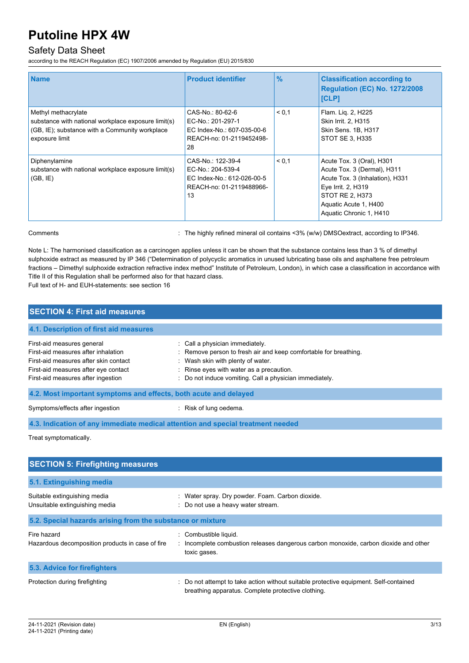### Safety Data Sheet

according to the REACH Regulation (EC) 1907/2006 amended by Regulation (EU) 2015/830

| <b>Name</b>                                                                                                                                    | <b>Product identifier</b>                                                                              | $\frac{9}{6}$ | <b>Classification according to</b><br><b>Regulation (EC) No. 1272/2008</b><br><b>[CLP]</b>                                                                                               |
|------------------------------------------------------------------------------------------------------------------------------------------------|--------------------------------------------------------------------------------------------------------|---------------|------------------------------------------------------------------------------------------------------------------------------------------------------------------------------------------|
| Methyl methacrylate<br>substance with national workplace exposure limit(s)<br>(GB, IE); substance with a Community workplace<br>exposure limit | CAS-No.: 80-62-6<br>EC-No.: 201-297-1<br>EC Index-No.: 607-035-00-6<br>REACH-no: 01-2119452498-<br>28  | < 0.1         | Flam. Lig. 2, H225<br>Skin Irrit. 2, H315<br>Skin Sens. 1B, H317<br>STOT SE 3. H335                                                                                                      |
| Diphenylamine<br>substance with national workplace exposure limit(s)<br>(GB, IE)                                                               | CAS-No.: 122-39-4<br>EC-No.: 204-539-4<br>EC Index-No.: 612-026-00-5<br>REACH-no: 01-2119488966-<br>13 | < 0.1         | Acute Tox. 3 (Oral), H301<br>Acute Tox. 3 (Dermal), H311<br>Acute Tox. 3 (Inhalation), H331<br>Eye Irrit. 2, H319<br>STOT RE 2, H373<br>Aquatic Acute 1, H400<br>Aquatic Chronic 1, H410 |

Comments **1998** Comments 20% Comments 20% (w/w) DMSOextract, according to IP346.

Note L: The harmonised classification as a carcinogen applies unless it can be shown that the substance contains less than 3 % of dimethyl sulphoxide extract as measured by IP 346 ("Determination of polycyclic aromatics in unused lubricating base oils and asphaltene free petroleum fractions – Dimethyl sulphoxide extraction refractive index method" Institute of Petroleum, London), in which case a classification in accordance with Title II of this Regulation shall be performed also for that hazard class.

Full text of H- and EUH-statements: see section 16

| <b>SECTION 4: First aid measures</b>                                                                                                                                                     |                                                                                                                                                                                                                                                 |  |
|------------------------------------------------------------------------------------------------------------------------------------------------------------------------------------------|-------------------------------------------------------------------------------------------------------------------------------------------------------------------------------------------------------------------------------------------------|--|
| 4.1. Description of first aid measures                                                                                                                                                   |                                                                                                                                                                                                                                                 |  |
| First-aid measures general<br>First-aid measures after inhalation<br>First-aid measures after skin contact<br>First-aid measures after eye contact<br>First-aid measures after ingestion | : Call a physician immediately.<br>: Remove person to fresh air and keep comfortable for breathing.<br>: Wash skin with plenty of water.<br>: Rinse eyes with water as a precaution.<br>: Do not induce vomiting. Call a physician immediately. |  |
| 4.2. Most important symptoms and effects, both acute and delayed                                                                                                                         |                                                                                                                                                                                                                                                 |  |
| Symptoms/effects after ingestion                                                                                                                                                         | : Risk of lung oedema.                                                                                                                                                                                                                          |  |
| 4.3. Indication of any immediate medical attention and special treatment needed                                                                                                          |                                                                                                                                                                                                                                                 |  |
| Treat symptomatically.                                                                                                                                                                   |                                                                                                                                                                                                                                                 |  |

| <b>SECTION 5: Firefighting measures</b>                         |                                                                                                                                             |
|-----------------------------------------------------------------|---------------------------------------------------------------------------------------------------------------------------------------------|
| 5.1. Extinguishing media                                        |                                                                                                                                             |
| Suitable extinguishing media<br>Unsuitable extinguishing media  | : Water spray. Dry powder. Foam. Carbon dioxide.<br>: Do not use a heavy water stream.                                                      |
| 5.2. Special hazards arising from the substance or mixture      |                                                                                                                                             |
| Fire hazard<br>Hazardous decomposition products in case of fire | Combustible liquid.<br>: Incomplete combustion releases dangerous carbon monoxide, carbon dioxide and other<br>toxic gases.                 |
| 5.3. Advice for firefighters                                    |                                                                                                                                             |
| Protection during firefighting                                  | : Do not attempt to take action without suitable protective equipment. Self-contained<br>breathing apparatus. Complete protective clothing. |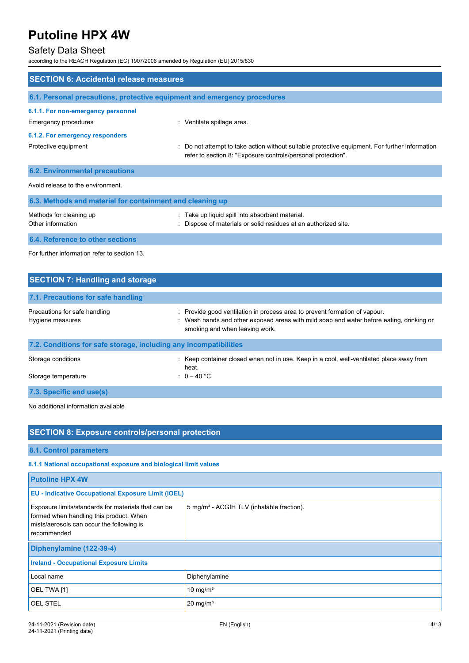### Safety Data Sheet

according to the REACH Regulation (EC) 1907/2006 amended by Regulation (EU) 2015/830

| <b>SECTION 6: Accidental release measures</b>                            |                                                                                                                                                                |  |
|--------------------------------------------------------------------------|----------------------------------------------------------------------------------------------------------------------------------------------------------------|--|
|                                                                          |                                                                                                                                                                |  |
| 6.1. Personal precautions, protective equipment and emergency procedures |                                                                                                                                                                |  |
| 6.1.1. For non-emergency personnel                                       |                                                                                                                                                                |  |
| <b>Emergency procedures</b>                                              | : Ventilate spillage area.                                                                                                                                     |  |
| 6.1.2. For emergency responders                                          |                                                                                                                                                                |  |
| Protective equipment                                                     | : Do not attempt to take action without suitable protective equipment. For further information<br>refer to section 8: "Exposure controls/personal protection". |  |
| <b>6.2. Environmental precautions</b>                                    |                                                                                                                                                                |  |
| Avoid release to the environment                                         |                                                                                                                                                                |  |
| 6.3. Methods and material for containment and cleaning up                |                                                                                                                                                                |  |
| Methods for cleaning up<br>Other information                             | : Take up liquid spill into absorbent material.<br>Dispose of materials or solid residues at an authorized site.                                               |  |
| 6.4. Reference to other sections                                         |                                                                                                                                                                |  |
| For further information refer to section 13.                             |                                                                                                                                                                |  |

| <b>SECTION 7: Handling and storage</b>                            |                                                                                                                                                                                                          |
|-------------------------------------------------------------------|----------------------------------------------------------------------------------------------------------------------------------------------------------------------------------------------------------|
| 7.1. Precautions for safe handling                                |                                                                                                                                                                                                          |
| Precautions for safe handling<br>Hygiene measures                 | : Provide good ventilation in process area to prevent formation of vapour.<br>: Wash hands and other exposed areas with mild soap and water before eating, drinking or<br>smoking and when leaving work. |
| 7.2. Conditions for safe storage, including any incompatibilities |                                                                                                                                                                                                          |
| Storage conditions                                                | : Keep container closed when not in use. Keep in a cool, well-ventilated place away from<br>heat.                                                                                                        |
| Storage temperature                                               | : $0-40 °C$                                                                                                                                                                                              |
| 7.3. Specific end use(s)                                          |                                                                                                                                                                                                          |

No additional information available

| <b>SECTION 8: Exposure controls/personal protection</b>                                                                                                    |                                                       |  |
|------------------------------------------------------------------------------------------------------------------------------------------------------------|-------------------------------------------------------|--|
| 8.1. Control parameters                                                                                                                                    |                                                       |  |
| 8.1.1 National occupational exposure and biological limit values                                                                                           |                                                       |  |
| <b>Putoline HPX 4W</b>                                                                                                                                     |                                                       |  |
| <b>EU - Indicative Occupational Exposure Limit (IOEL)</b>                                                                                                  |                                                       |  |
| Exposure limits/standards for materials that can be<br>formed when handling this product. When<br>mists/aerosols can occur the following is<br>rocomponded | 5 mg/m <sup>3</sup> - ACGIH TLV (inhalable fraction). |  |

| recommended                                   |                      |  |
|-----------------------------------------------|----------------------|--|
| Diphenylamine (122-39-4)                      |                      |  |
| <b>Ireland - Occupational Exposure Limits</b> |                      |  |
| Local name                                    | Diphenylamine        |  |
| OEL TWA [1]                                   | 10 mg/m <sup>3</sup> |  |
| <b>OEL STEL</b>                               | $20 \text{ mg/m}^3$  |  |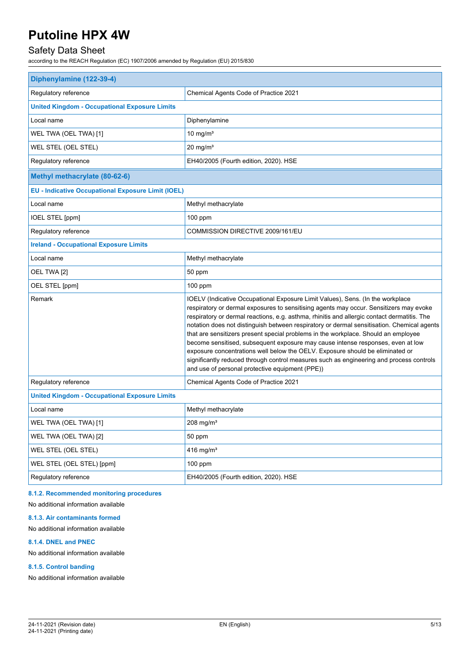### Safety Data Sheet

according to the REACH Regulation (EC) 1907/2006 amended by Regulation (EU) 2015/830

| Diphenylamine (122-39-4)                                  |                                                                                                                                                                                                                                                                                                                                                                                                                                                                                                                                                                                                                                                                                                                                                                               |  |
|-----------------------------------------------------------|-------------------------------------------------------------------------------------------------------------------------------------------------------------------------------------------------------------------------------------------------------------------------------------------------------------------------------------------------------------------------------------------------------------------------------------------------------------------------------------------------------------------------------------------------------------------------------------------------------------------------------------------------------------------------------------------------------------------------------------------------------------------------------|--|
| Regulatory reference                                      | Chemical Agents Code of Practice 2021                                                                                                                                                                                                                                                                                                                                                                                                                                                                                                                                                                                                                                                                                                                                         |  |
| <b>United Kingdom - Occupational Exposure Limits</b>      |                                                                                                                                                                                                                                                                                                                                                                                                                                                                                                                                                                                                                                                                                                                                                                               |  |
| Local name                                                | Diphenylamine                                                                                                                                                                                                                                                                                                                                                                                                                                                                                                                                                                                                                                                                                                                                                                 |  |
| WEL TWA (OEL TWA) [1]                                     | 10 mg/ $m3$                                                                                                                                                                                                                                                                                                                                                                                                                                                                                                                                                                                                                                                                                                                                                                   |  |
| WEL STEL (OEL STEL)                                       | $20$ mg/m <sup>3</sup>                                                                                                                                                                                                                                                                                                                                                                                                                                                                                                                                                                                                                                                                                                                                                        |  |
| Regulatory reference                                      | EH40/2005 (Fourth edition, 2020). HSE                                                                                                                                                                                                                                                                                                                                                                                                                                                                                                                                                                                                                                                                                                                                         |  |
| Methyl methacrylate (80-62-6)                             |                                                                                                                                                                                                                                                                                                                                                                                                                                                                                                                                                                                                                                                                                                                                                                               |  |
| <b>EU - Indicative Occupational Exposure Limit (IOEL)</b> |                                                                                                                                                                                                                                                                                                                                                                                                                                                                                                                                                                                                                                                                                                                                                                               |  |
| Local name                                                | Methyl methacrylate                                                                                                                                                                                                                                                                                                                                                                                                                                                                                                                                                                                                                                                                                                                                                           |  |
| <b>IOEL STEL [ppm]</b>                                    | 100 ppm                                                                                                                                                                                                                                                                                                                                                                                                                                                                                                                                                                                                                                                                                                                                                                       |  |
| Regulatory reference                                      | COMMISSION DIRECTIVE 2009/161/EU                                                                                                                                                                                                                                                                                                                                                                                                                                                                                                                                                                                                                                                                                                                                              |  |
| <b>Ireland - Occupational Exposure Limits</b>             |                                                                                                                                                                                                                                                                                                                                                                                                                                                                                                                                                                                                                                                                                                                                                                               |  |
| Local name                                                | Methyl methacrylate                                                                                                                                                                                                                                                                                                                                                                                                                                                                                                                                                                                                                                                                                                                                                           |  |
| OEL TWA [2]                                               | 50 ppm                                                                                                                                                                                                                                                                                                                                                                                                                                                                                                                                                                                                                                                                                                                                                                        |  |
| OEL STEL [ppm]                                            | $100$ ppm                                                                                                                                                                                                                                                                                                                                                                                                                                                                                                                                                                                                                                                                                                                                                                     |  |
| Remark                                                    | IOELV (Indicative Occupational Exposure Limit Values), Sens. (In the workplace<br>respiratory or dermal exposures to sensitising agents may occur. Sensitizers may evoke<br>respiratory or dermal reactions, e.g. asthma, rhinitis and allergic contact dermatitis. The<br>notation does not distinguish between respiratory or dermal sensitisation. Chemical agents<br>that are sensitizers present special problems in the workplace. Should an employee<br>become sensitised, subsequent exposure may cause intense responses, even at low<br>exposure concentrations well below the OELV. Exposure should be eliminated or<br>significantly reduced through control measures such as engineering and process controls<br>and use of personal protective equipment (PPE)) |  |
| Regulatory reference                                      | Chemical Agents Code of Practice 2021                                                                                                                                                                                                                                                                                                                                                                                                                                                                                                                                                                                                                                                                                                                                         |  |
| <b>United Kingdom - Occupational Exposure Limits</b>      |                                                                                                                                                                                                                                                                                                                                                                                                                                                                                                                                                                                                                                                                                                                                                                               |  |
| Local name                                                | Methyl methacrylate                                                                                                                                                                                                                                                                                                                                                                                                                                                                                                                                                                                                                                                                                                                                                           |  |
| WEL TWA (OEL TWA) [1]                                     | $208$ mg/m <sup>3</sup>                                                                                                                                                                                                                                                                                                                                                                                                                                                                                                                                                                                                                                                                                                                                                       |  |
| WEL TWA (OEL TWA) [2]                                     | 50 ppm                                                                                                                                                                                                                                                                                                                                                                                                                                                                                                                                                                                                                                                                                                                                                                        |  |
| WEL STEL (OEL STEL)                                       | 416 mg/m <sup>3</sup>                                                                                                                                                                                                                                                                                                                                                                                                                                                                                                                                                                                                                                                                                                                                                         |  |
| WEL STEL (OEL STEL) [ppm]                                 | 100 ppm                                                                                                                                                                                                                                                                                                                                                                                                                                                                                                                                                                                                                                                                                                                                                                       |  |
| Regulatory reference                                      | EH40/2005 (Fourth edition, 2020). HSE                                                                                                                                                                                                                                                                                                                                                                                                                                                                                                                                                                                                                                                                                                                                         |  |

#### **8.1.2. Recommended monitoring procedures**

No additional information available

#### **8.1.3. Air contaminants formed**

No additional information available

#### **8.1.4. DNEL and PNEC**

No additional information available

#### **8.1.5. Control banding**

No additional information available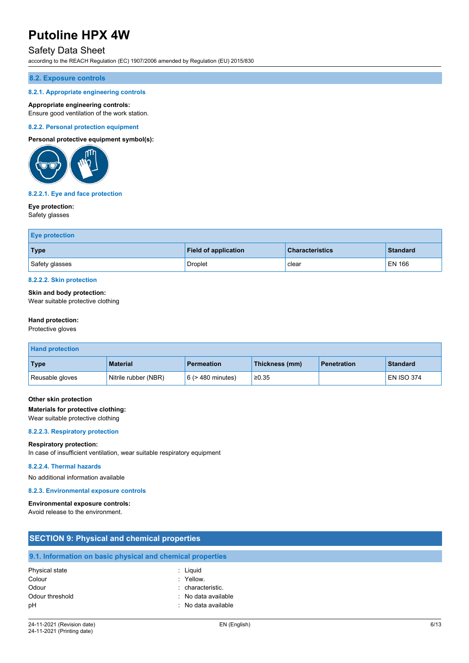### Safety Data Sheet

according to the REACH Regulation (EC) 1907/2006 amended by Regulation (EU) 2015/830

#### **8.2. Exposure controls**

#### **8.2.1. Appropriate engineering controls**

#### **Appropriate engineering controls:**

Ensure good ventilation of the work station.

#### **8.2.2. Personal protection equipment**

#### **Personal protective equipment symbol(s):**



#### **8.2.2.1. Eye and face protection**

#### **Eye protection:**

Safety glasses

| <b>Eye protection</b> |                             |                        |                 |
|-----------------------|-----------------------------|------------------------|-----------------|
| Type                  | <b>Field of application</b> | <b>Characteristics</b> | <b>Standard</b> |
| Safety glasses        | Droplet                     | clear                  | <b>EN 166</b>   |

#### **8.2.2.2. Skin protection**

#### **Skin and body protection:**

Wear suitable protective clothing

#### **Hand protection:**

Protective gloves

| <b>Hand protection</b> |                      |                        |                |                    |                   |
|------------------------|----------------------|------------------------|----------------|--------------------|-------------------|
| Type                   | <b>Material</b>      | <b>Permeation</b>      | Thickness (mm) | <b>Penetration</b> | <b>Standard</b>   |
| Reusable gloves        | Nitrile rubber (NBR) | $6$ ( $>$ 480 minutes) | ≥0.35          |                    | <b>EN ISO 374</b> |

#### **Other skin protection**

#### **Materials for protective clothing:**

Wear suitable protective clothing

#### **8.2.2.3. Respiratory protection**

#### **Respiratory protection:**

In case of insufficient ventilation, wear suitable respiratory equipment

#### **8.2.2.4. Thermal hazards**

No additional information available

#### **8.2.3. Environmental exposure controls**

#### **Environmental exposure controls:**

Avoid release to the environment.

| <b>SECTION 9: Physical and chemical properties</b> |                                                            |  |
|----------------------------------------------------|------------------------------------------------------------|--|
|                                                    | 9.1. Information on basic physical and chemical properties |  |
| Physical state                                     | : Liguid                                                   |  |
| Colour                                             | : Yellow.                                                  |  |
| Odour                                              | : characteristic.                                          |  |
| Odour threshold                                    | : No data available                                        |  |
| pH                                                 | : No data available                                        |  |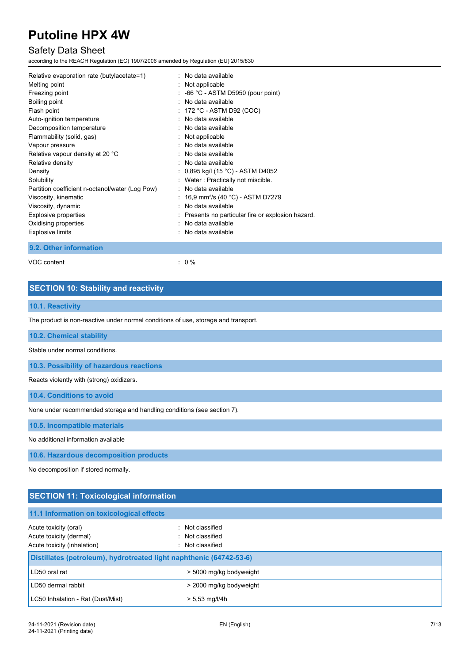### Safety Data Sheet

according to the REACH Regulation (EC) 1907/2006 amended by Regulation (EU) 2015/830

| Relative evaporation rate (butylacetate=1)      | $:$ No data available                            |
|-------------------------------------------------|--------------------------------------------------|
| Melting point                                   | : Not applicable                                 |
| Freezing point                                  | $-66$ °C - ASTM D5950 (pour point)               |
| Boiling point                                   | No data available                                |
| Flash point                                     | : $172 °C$ - ASTM D92 (COC)                      |
| Auto-ignition temperature                       | : No data available                              |
| Decomposition temperature                       | $:$ No data available                            |
| Flammability (solid, gas)                       | : Not applicable                                 |
| Vapour pressure                                 | No data available                                |
| Relative vapour density at 20 °C                | : No data available                              |
| Relative density                                | $:$ No data available                            |
| Density                                         | : $0,895$ kg/l (15 °C) - ASTM D4052              |
| Solubility                                      | Water: Practically not miscible.                 |
| Partition coefficient n-octanol/water (Log Pow) | No data available                                |
| Viscosity, kinematic                            | : 16,9 mm <sup>2</sup> /s (40 °C) - ASTM D7279   |
| Viscosity, dynamic                              | No data available                                |
| <b>Explosive properties</b>                     | Presents no particular fire or explosion hazard. |
| Oxidising properties                            | No data available                                |
| <b>Explosive limits</b>                         | $:$ No data available                            |

**9.2. Other information**

VOC content  $\qquad \qquad : \qquad 0 \%$ 

### **SECTION 10: Stability and reactivity**

### **10.1. Reactivity**

The product is non-reactive under normal conditions of use, storage and transport.

**10.2. Chemical stability**

Stable under normal conditions.

**10.3. Possibility of hazardous reactions**

Reacts violently with (strong) oxidizers.

**10.4. Conditions to avoid**

None under recommended storage and handling conditions (see section 7).

**10.5. Incompatible materials**

No additional information available

**10.6. Hazardous decomposition products**

No decomposition if stored normally.

### **SECTION 11: Toxicological information**

#### **11.1 Information on toxicological effects**

| Acute toxicity (oral)<br>Acute toxicity (dermal)<br>Acute toxicity (inhalation) | : Not classified<br>: Not classified<br>: Not classified |  |
|---------------------------------------------------------------------------------|----------------------------------------------------------|--|
| Distillates (petroleum), hydrotreated light naphthenic (64742-53-6)             |                                                          |  |
| LD50 oral rat                                                                   | > 5000 mg/kg bodyweight                                  |  |
| LD50 dermal rabbit                                                              | > 2000 mg/kg bodyweight                                  |  |
| LC50 Inhalation - Rat (Dust/Mist)                                               | $> 5.53$ mg/l/4h                                         |  |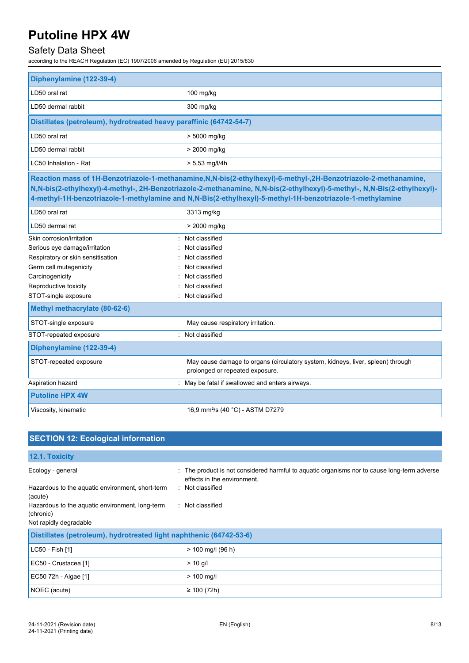# Safety Data Sheet

according to the REACH Regulation (EC) 1907/2006 amended by Regulation (EU) 2015/830

| Diphenylamine (122-39-4)                                            |                                                                                                                                                                                                                                                                                                                                                             |
|---------------------------------------------------------------------|-------------------------------------------------------------------------------------------------------------------------------------------------------------------------------------------------------------------------------------------------------------------------------------------------------------------------------------------------------------|
| LD50 oral rat                                                       | 100 mg/kg                                                                                                                                                                                                                                                                                                                                                   |
| LD50 dermal rabbit                                                  | 300 mg/kg                                                                                                                                                                                                                                                                                                                                                   |
| Distillates (petroleum), hydrotreated heavy paraffinic (64742-54-7) |                                                                                                                                                                                                                                                                                                                                                             |
| LD50 oral rat                                                       | > 5000 mg/kg                                                                                                                                                                                                                                                                                                                                                |
| LD50 dermal rabbit                                                  | > 2000 mg/kg                                                                                                                                                                                                                                                                                                                                                |
| LC50 Inhalation - Rat                                               | $> 5.53$ mg/l/4h                                                                                                                                                                                                                                                                                                                                            |
|                                                                     | Reaction mass of 1H-Benzotriazole-1-methanamine, N, N-bis(2-ethylhexyl)-6-methyl-, 2H-Benzotriazole-2-methanamine,<br>N,N-bis(2-ethylhexyl)-4-methyl-, 2H-Benzotriazole-2-methanamine, N,N-bis(2-ethylhexyl)-5-methyl-, N,N-Bis(2-ethylhexyl)-<br>4-methyl-1H-benzotriazole-1-methylamine and N,N-Bis(2-ethylhexyl)-5-methyl-1H-benzotriazole-1-methylamine |
| LD50 oral rat                                                       | 3313 mg/kg                                                                                                                                                                                                                                                                                                                                                  |
| LD50 dermal rat                                                     | > 2000 mg/kg                                                                                                                                                                                                                                                                                                                                                |
| Skin corrosion/irritation                                           | Not classified                                                                                                                                                                                                                                                                                                                                              |
| Serious eye damage/irritation                                       | Not classified                                                                                                                                                                                                                                                                                                                                              |
| Respiratory or skin sensitisation                                   | Not classified                                                                                                                                                                                                                                                                                                                                              |
| Germ cell mutagenicity                                              | Not classified                                                                                                                                                                                                                                                                                                                                              |
| Carcinogenicity                                                     | Not classified                                                                                                                                                                                                                                                                                                                                              |
| Reproductive toxicity                                               | Not classified                                                                                                                                                                                                                                                                                                                                              |
| STOT-single exposure                                                | : Not classified                                                                                                                                                                                                                                                                                                                                            |
| Methyl methacrylate (80-62-6)                                       |                                                                                                                                                                                                                                                                                                                                                             |
| STOT-single exposure                                                | May cause respiratory irritation.                                                                                                                                                                                                                                                                                                                           |
| STOT-repeated exposure                                              | : Not classified                                                                                                                                                                                                                                                                                                                                            |
| Diphenylamine (122-39-4)                                            |                                                                                                                                                                                                                                                                                                                                                             |
| STOT-repeated exposure                                              | May cause damage to organs (circulatory system, kidneys, liver, spleen) through<br>prolonged or repeated exposure.                                                                                                                                                                                                                                          |
| Aspiration hazard                                                   | May be fatal if swallowed and enters airways.                                                                                                                                                                                                                                                                                                               |
| <b>Putoline HPX 4W</b>                                              |                                                                                                                                                                                                                                                                                                                                                             |
| Viscosity, kinematic                                                | 16,9 mm <sup>2</sup> /s (40 °C) - ASTM D7279                                                                                                                                                                                                                                                                                                                |

| <b>SECTION 12: Ecological information</b>                                              |                                                                                                                            |  |
|----------------------------------------------------------------------------------------|----------------------------------------------------------------------------------------------------------------------------|--|
| 12.1. Toxicity                                                                         |                                                                                                                            |  |
| Ecology - general                                                                      | : The product is not considered harmful to aquatic organisms nor to cause long-term adverse<br>effects in the environment. |  |
| Hazardous to the aquatic environment, short-term<br>(acute)                            | : Not classified                                                                                                           |  |
| Hazardous to the aquatic environment, long-term<br>(chronic)<br>Not rapidly degradable | : Not classified                                                                                                           |  |
| Distillates (petroleum), hydrotreated light naphthenic (64742-53-6)                    |                                                                                                                            |  |
| LC50 - Fish [1]                                                                        | $> 100$ mg/l (96 h)                                                                                                        |  |
| EC50 - Crustacea [1]                                                                   | $> 10$ g/l                                                                                                                 |  |
| EC50 72h - Algae [1]                                                                   | $> 100$ mg/l                                                                                                               |  |
| NOEC (acute)                                                                           | $\geq 100(72h)$                                                                                                            |  |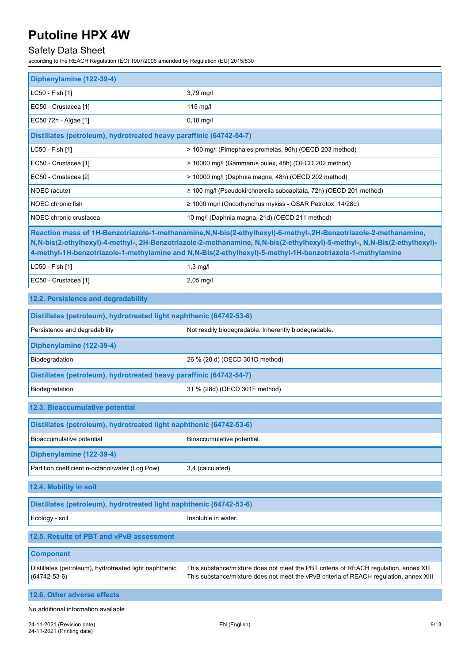# Safety Data Sheet

according to the REACH Regulation (EC) 1907/2006 amended by Regulation (EU) 2015/830

| Diphenylamine (122-39-4)                                                     |                                                                                                                                                                                                                                                                                                                                                             |  |
|------------------------------------------------------------------------------|-------------------------------------------------------------------------------------------------------------------------------------------------------------------------------------------------------------------------------------------------------------------------------------------------------------------------------------------------------------|--|
| LC50 - Fish [1]                                                              | 3,79 mg/l                                                                                                                                                                                                                                                                                                                                                   |  |
| EC50 - Crustacea [1]                                                         | $115$ mg/l                                                                                                                                                                                                                                                                                                                                                  |  |
| EC50 72h - Algae [1]                                                         | $0,18$ mg/l                                                                                                                                                                                                                                                                                                                                                 |  |
| Distillates (petroleum), hydrotreated heavy paraffinic (64742-54-7)          |                                                                                                                                                                                                                                                                                                                                                             |  |
| LC50 - Fish [1]                                                              | > 100 mg/l (Pimephales promelas, 96h) (OECD 203 method)                                                                                                                                                                                                                                                                                                     |  |
| EC50 - Crustacea [1]                                                         | > 10000 mg/l (Gammarus pulex, 48h) (OECD 202 method)                                                                                                                                                                                                                                                                                                        |  |
| EC50 - Crustacea [2]                                                         | > 10000 mg/l (Daphnia magna, 48h) (OECD 202 method)                                                                                                                                                                                                                                                                                                         |  |
| NOEC (acute)                                                                 | $\geq$ 100 mg/l (Pseudokirchnerella subcapitata, 72h) (OECD 201 method)                                                                                                                                                                                                                                                                                     |  |
| NOEC chronic fish                                                            | ≥ 1000 mg/l (Oncorhynchus mykiss - QSAR Petrotox, 14/28d)                                                                                                                                                                                                                                                                                                   |  |
| NOEC chronic crustacea                                                       | 10 mg/l (Daphnia magna, 21d) (OECD 211 method)                                                                                                                                                                                                                                                                                                              |  |
|                                                                              | Reaction mass of 1H-Benzotriazole-1-methanamine, N, N-bis(2-ethylhexyl)-6-methyl-, 2H-Benzotriazole-2-methanamine,<br>N,N-bis(2-ethylhexyl)-4-methyl-, 2H-Benzotriazole-2-methanamine, N,N-bis(2-ethylhexyl)-5-methyl-, N,N-Bis(2-ethylhexyl)-<br>4-methyl-1H-benzotriazole-1-methylamine and N,N-Bis(2-ethylhexyl)-5-methyl-1H-benzotriazole-1-methylamine |  |
| LC50 - Fish [1]                                                              | $1,3$ mg/l                                                                                                                                                                                                                                                                                                                                                  |  |
| EC50 - Crustacea [1]                                                         | 2,05 mg/l                                                                                                                                                                                                                                                                                                                                                   |  |
| 12.2. Persistence and degradability                                          |                                                                                                                                                                                                                                                                                                                                                             |  |
| Distillates (petroleum), hydrotreated light naphthenic (64742-53-6)          |                                                                                                                                                                                                                                                                                                                                                             |  |
| Persistence and degradability                                                | Not readily biodegradable. Inherently biodegradable.                                                                                                                                                                                                                                                                                                        |  |
| Diphenylamine (122-39-4)                                                     |                                                                                                                                                                                                                                                                                                                                                             |  |
| Biodegradation                                                               | 26 % (28 d) (OECD 301D method)                                                                                                                                                                                                                                                                                                                              |  |
| Distillates (petroleum), hydrotreated heavy paraffinic (64742-54-7)          |                                                                                                                                                                                                                                                                                                                                                             |  |
| Biodegradation                                                               | 31 % (28d) (OECD 301F method)                                                                                                                                                                                                                                                                                                                               |  |
| 12.3. Bioaccumulative potential                                              |                                                                                                                                                                                                                                                                                                                                                             |  |
| Distillates (petroleum), hydrotreated light naphthenic (64742-53-6)          |                                                                                                                                                                                                                                                                                                                                                             |  |
| Bioaccumulative potential                                                    | Bioaccumulative potential.                                                                                                                                                                                                                                                                                                                                  |  |
| Diphenylamine (122-39-4)                                                     |                                                                                                                                                                                                                                                                                                                                                             |  |
| Partition coefficient n-octanol/water (Log Pow)                              | 3,4 (calculated)                                                                                                                                                                                                                                                                                                                                            |  |
| 12.4. Mobility in soil                                                       |                                                                                                                                                                                                                                                                                                                                                             |  |
| Distillates (petroleum), hydrotreated light naphthenic (64742-53-6)          |                                                                                                                                                                                                                                                                                                                                                             |  |
| Ecology - soil                                                               | Insoluble in water.                                                                                                                                                                                                                                                                                                                                         |  |
| 12.5. Results of PBT and vPvB assessment                                     |                                                                                                                                                                                                                                                                                                                                                             |  |
| <b>Component</b>                                                             |                                                                                                                                                                                                                                                                                                                                                             |  |
| Distillates (petroleum), hydrotreated light naphthenic<br>$(64742 - 53 - 6)$ | This substance/mixture does not meet the PBT criteria of REACH regulation, annex XIII<br>This substance/mixture does not meet the vPvB criteria of REACH regulation, annex XIII                                                                                                                                                                             |  |
| 12.6. Other adverse effects                                                  |                                                                                                                                                                                                                                                                                                                                                             |  |
| No additional information available                                          |                                                                                                                                                                                                                                                                                                                                                             |  |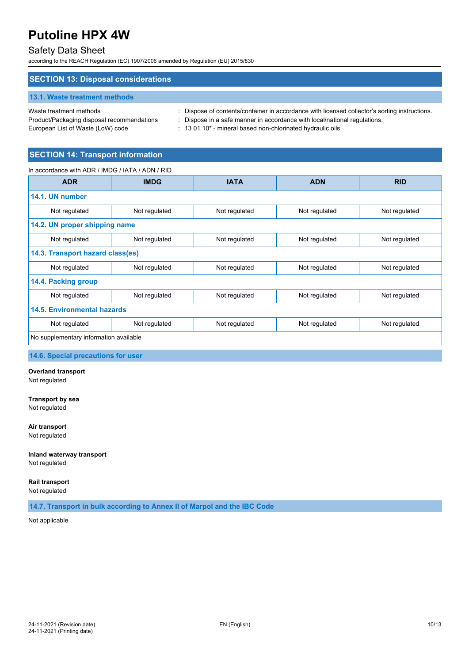### Safety Data Sheet

according to the REACH Regulation (EC) 1907/2006 amended by Regulation (EU) 2015/830

### **SECTION 13: Disposal considerations 13.1. Waste treatment methods** Waste treatment methods : Dispose of contents/container in accordance with licensed collector's sorting instructions. Product/Packaging disposal recommendations : Dispose in a safe manner in accordance with local/national regulations.

European List of Waste (LoW) code : 13 01 10<sup>\*</sup> - mineral based non-chlorinated hydraulic oils

### **SECTION 14: Transport information**

In accordance with ADR / IMDG / IATA / ADN / RID **ADR IMDG IATA ADN RID 14.1. UN number** Not regulated Not regulated Not regulated Not regulated Not regulated Not regulated Not regulated **14.2. UN proper shipping name** Not regulated Not regulated Not regulated Not regulated Not regulated **14.3. Transport hazard class(es)** Not regulated Not regulated Not regulated Not regulated Not regulated **14.4. Packing group** Not regulated Not regulated Not regulated Not regulated Not regulated Not regulated Not regulated **14.5. Environmental hazards** Not regulated Not regulated Not regulated Not regulated Not regulated Not regulated Not regulated No supplementary information available

**14.6. Special precautions for user**

**Overland transport** Not regulated

**Transport by sea** Not regulated

**Air transport** Not regulated

**Inland waterway transport** Not regulated

**Rail transport** Not regulated

**14.7. Transport in bulk according to Annex II of Marpol and the IBC Code**

Not applicable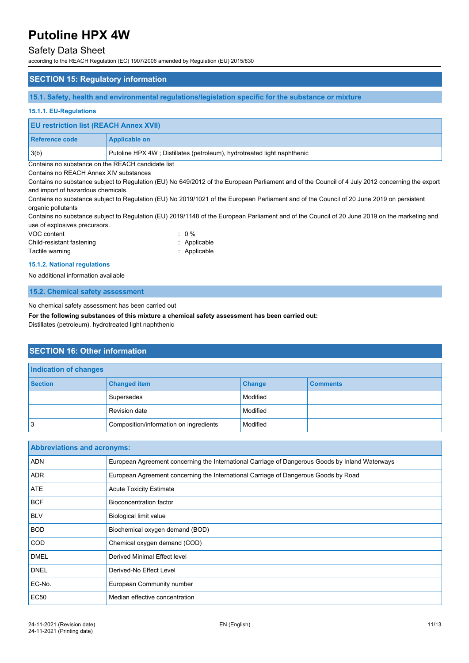### Safety Data Sheet

according to the REACH Regulation (EC) 1907/2006 amended by Regulation (EU) 2015/830

#### **SECTION 15: Regulatory information**

**15.1. Safety, health and environmental regulations/legislation specific for the substance or mixture**

#### **15.1.1. EU-Regulations**

| <b>EU restriction list (REACH Annex XVII)</b> |                                                                         |
|-----------------------------------------------|-------------------------------------------------------------------------|
| <b>Reference code</b>                         | <b>Applicable on</b>                                                    |
| 3(b)                                          | Putoline HPX 4W; Distillates (petroleum), hydrotreated light naphthenic |

Contains no substance on the REACH candidate list

#### Contains no REACH Annex XIV substances

Contains no substance subject to Regulation (EU) No 649/2012 of the European Parliament and of the Council of 4 July 2012 concerning the export and import of hazardous chemicals.

Contains no substance subject to Regulation (EU) No 2019/1021 of the European Parliament and of the Council of 20 June 2019 on persistent organic pollutants

Contains no substance subject to Regulation (EU) 2019/1148 of the European Parliament and of the Council of 20 June 2019 on the marketing and use of explosives precursors.

| VOC content               | $\therefore$ 0 % |
|---------------------------|------------------|
| Child-resistant fastening | : Applicable     |
| Tactile warning           | : Applicable     |

#### **15.1.2. National regulations**

No additional information available

#### **15.2. Chemical safety assessment**

No chemical safety assessment has been carried out

**For the following substances of this mixture a chemical safety assessment has been carried out:**

Distillates (petroleum), hydrotreated light naphthenic

#### **SECTION 16: Other information**

| Indication of changes |                                        |               |                 |
|-----------------------|----------------------------------------|---------------|-----------------|
| <b>Section</b>        | <b>Changed item</b>                    | <b>Change</b> | <b>Comments</b> |
|                       | Supersedes                             | Modified      |                 |
|                       | <b>Revision date</b>                   | Modified      |                 |
| Ι3                    | Composition/information on ingredients | Modified      |                 |

| <b>Abbreviations and acronyms:</b> |                                                                                                 |
|------------------------------------|-------------------------------------------------------------------------------------------------|
| <b>ADN</b>                         | European Agreement concerning the International Carriage of Dangerous Goods by Inland Waterways |
| <b>ADR</b>                         | European Agreement concerning the International Carriage of Dangerous Goods by Road             |
| <b>ATE</b>                         | <b>Acute Toxicity Estimate</b>                                                                  |
| <b>BCF</b>                         | Bioconcentration factor                                                                         |
| <b>BLV</b>                         | Biological limit value                                                                          |
| <b>BOD</b>                         | Biochemical oxygen demand (BOD)                                                                 |
| <b>COD</b>                         | Chemical oxygen demand (COD)                                                                    |
| <b>DMEL</b>                        | Derived Minimal Effect level                                                                    |
| <b>DNEL</b>                        | Derived-No Effect Level                                                                         |
| EC-No.                             | European Community number                                                                       |
| <b>EC50</b>                        | Median effective concentration                                                                  |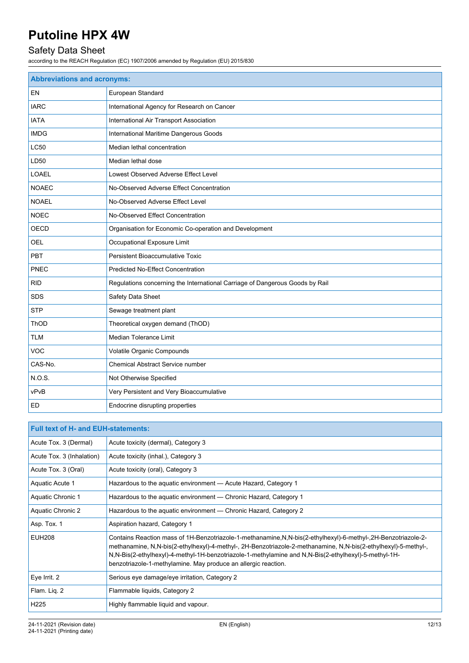# Safety Data Sheet

according to the REACH Regulation (EC) 1907/2006 amended by Regulation (EU) 2015/830

| <b>Abbreviations and acronyms:</b> |                                                                              |  |
|------------------------------------|------------------------------------------------------------------------------|--|
| EN                                 | European Standard                                                            |  |
| <b>IARC</b>                        | International Agency for Research on Cancer                                  |  |
| <b>IATA</b>                        | International Air Transport Association                                      |  |
| <b>IMDG</b>                        | International Maritime Dangerous Goods                                       |  |
| LC50                               | Median lethal concentration                                                  |  |
| LD50                               | Median lethal dose                                                           |  |
| <b>LOAEL</b>                       | Lowest Observed Adverse Effect Level                                         |  |
| <b>NOAEC</b>                       | No-Observed Adverse Effect Concentration                                     |  |
| <b>NOAEL</b>                       | No-Observed Adverse Effect Level                                             |  |
| <b>NOEC</b>                        | No-Observed Effect Concentration                                             |  |
| <b>OECD</b>                        | Organisation for Economic Co-operation and Development                       |  |
| <b>OEL</b>                         | Occupational Exposure Limit                                                  |  |
| <b>PBT</b>                         | <b>Persistent Bioaccumulative Toxic</b>                                      |  |
| PNEC                               | <b>Predicted No-Effect Concentration</b>                                     |  |
| <b>RID</b>                         | Regulations concerning the International Carriage of Dangerous Goods by Rail |  |
| <b>SDS</b>                         | Safety Data Sheet                                                            |  |
| <b>STP</b>                         | Sewage treatment plant                                                       |  |
| ThOD                               | Theoretical oxygen demand (ThOD)                                             |  |
| <b>TLM</b>                         | Median Tolerance Limit                                                       |  |
| <b>VOC</b>                         | Volatile Organic Compounds                                                   |  |
| CAS-No.                            | <b>Chemical Abstract Service number</b>                                      |  |
| N.O.S.                             | Not Otherwise Specified                                                      |  |
| vPvB                               | Very Persistent and Very Bioaccumulative                                     |  |
| ED                                 | Endocrine disrupting properties                                              |  |

| <b>Full text of H- and EUH-statements:</b> |                                                                                                                                                                                                                                                                                                                                                                                                              |  |
|--------------------------------------------|--------------------------------------------------------------------------------------------------------------------------------------------------------------------------------------------------------------------------------------------------------------------------------------------------------------------------------------------------------------------------------------------------------------|--|
| Acute Tox. 3 (Dermal)                      | Acute toxicity (dermal), Category 3                                                                                                                                                                                                                                                                                                                                                                          |  |
| Acute Tox. 3 (Inhalation)                  | Acute toxicity (inhal.), Category 3                                                                                                                                                                                                                                                                                                                                                                          |  |
| Acute Tox. 3 (Oral)                        | Acute toxicity (oral), Category 3                                                                                                                                                                                                                                                                                                                                                                            |  |
| Aquatic Acute 1                            | Hazardous to the aquatic environment - Acute Hazard, Category 1                                                                                                                                                                                                                                                                                                                                              |  |
| Aquatic Chronic 1                          | Hazardous to the aquatic environment — Chronic Hazard, Category 1                                                                                                                                                                                                                                                                                                                                            |  |
| Aquatic Chronic 2                          | Hazardous to the aquatic environment — Chronic Hazard, Category 2                                                                                                                                                                                                                                                                                                                                            |  |
| Asp. Tox. 1                                | Aspiration hazard, Category 1                                                                                                                                                                                                                                                                                                                                                                                |  |
| <b>EUH208</b>                              | Contains Reaction mass of 1H-Benzotriazole-1-methanamine, N, N-bis (2-ethylhexyl)-6-methyl-, 2H-Benzotriazole-2-<br>methanamine, N,N-bis(2-ethylhexyl)-4-methyl-, 2H-Benzotriazole-2-methanamine, N,N-bis(2-ethylhexyl)-5-methyl-,<br>N,N-Bis(2-ethylhexyl)-4-methyl-1H-benzotriazole-1-methylamine and N,N-Bis(2-ethylhexyl)-5-methyl-1H-<br>benzotriazole-1-methylamine. May produce an allergic reaction. |  |
| Eye Irrit. 2                               | Serious eye damage/eye irritation, Category 2                                                                                                                                                                                                                                                                                                                                                                |  |
| Flam. Lig. 2                               | Flammable liquids, Category 2                                                                                                                                                                                                                                                                                                                                                                                |  |
| H <sub>225</sub>                           | Highly flammable liquid and vapour.                                                                                                                                                                                                                                                                                                                                                                          |  |